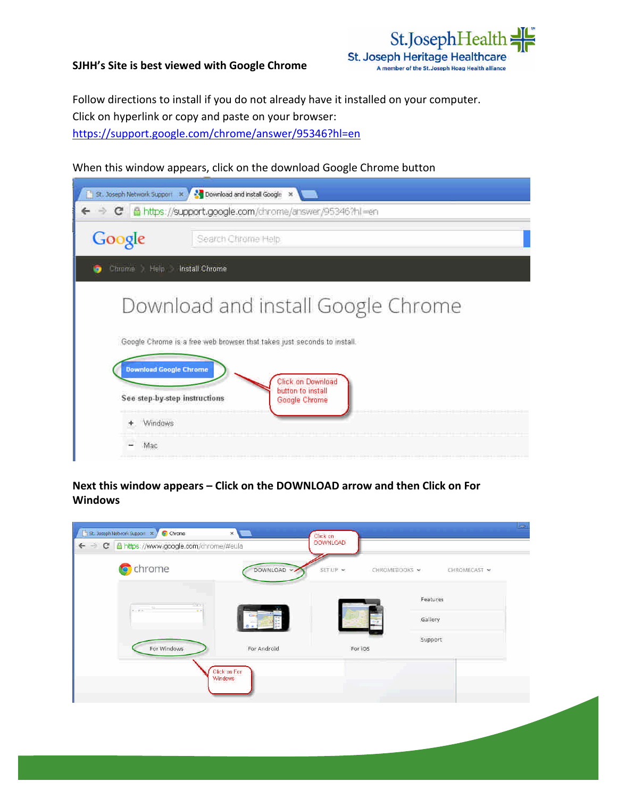### **SJHH's Site is best viewed with Google Chrome**



Follow directions to install if you do not already have it installed on your computer. Click on hyperlink or copy and paste on your browser: https://support.google.com/chrome/answer/95346?hl=en

# When this window appears, click on the download Google Chrome button

| → C 面 https://support.google.com/chrome/arswer/95346?hl=en<br>Google<br>Search Chrome Halp<br><b>Entime Heip Install Chrome</b><br>Download and install Google Chrome<br>Google Chrome is a free web browser that takes just seconds to install.<br><b>Download Google Chrome</b><br>Click on Download |
|--------------------------------------------------------------------------------------------------------------------------------------------------------------------------------------------------------------------------------------------------------------------------------------------------------|
|                                                                                                                                                                                                                                                                                                        |
|                                                                                                                                                                                                                                                                                                        |
|                                                                                                                                                                                                                                                                                                        |
|                                                                                                                                                                                                                                                                                                        |
|                                                                                                                                                                                                                                                                                                        |
|                                                                                                                                                                                                                                                                                                        |
| button to install<br>See step-by-step instructions<br>Google Chrome                                                                                                                                                                                                                                    |
| Windows                                                                                                                                                                                                                                                                                                |
| Mac                                                                                                                                                                                                                                                                                                    |

**Next this window appears –Click on the DOWNLOAD arrow and then Click on For Windows**

| <b>o</b> chrome       | DOWNLOAD -              | SET LIP | CHROMECAST ><br>CHROMEBOOKS ~ |
|-----------------------|-------------------------|---------|-------------------------------|
| first.<br><b>KITA</b> |                         |         | Features                      |
| $\bullet$             |                         |         | Gallery                       |
| For Windows           | For Android             | For IOS | Support                       |
|                       | Click on For<br>Windows |         |                               |
|                       |                         |         |                               |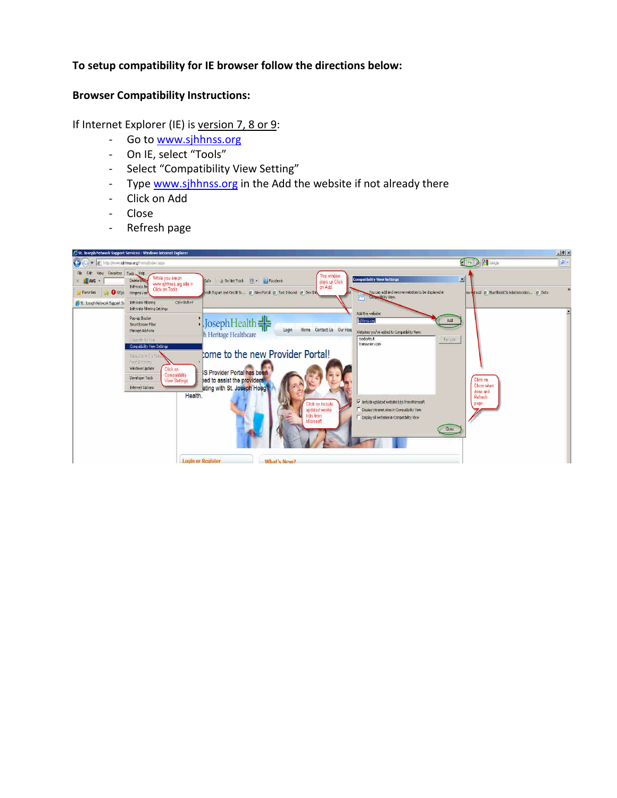# **To setup compatibility for IE browser follow the directions below:**

#### **Browser Compatibility Instructions:**

If Internet Explorer (IE) is version 7, 8 or 9:

- Go to www.sjhhnss.org
- On IE, select "Tools"
- Select "Compatibility View Setting"
- Type www.sjhhnss.org in the Add the website if not already there
- Click on Add
- Close
- Refresh page